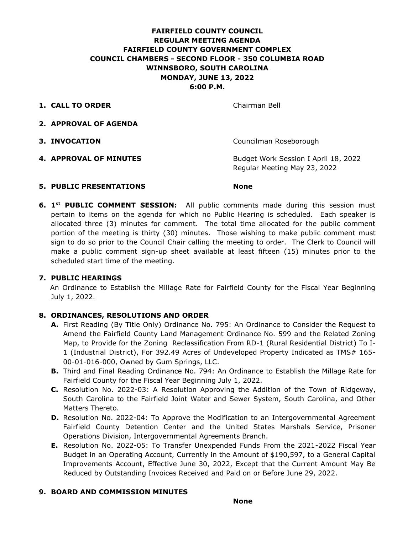# **FAIRFIELD COUNTY COUNCIL REGULAR MEETING AGENDA FAIRFIELD COUNTY GOVERNMENT COMPLEX COUNCIL CHAMBERS - SECOND FLOOR - 350 COLUMBIA ROAD WINNSBORO, SOUTH CAROLINA MONDAY, JUNE 13, 2022 6:00 P.M.**

**1. CALL TO ORDER** Chairman Bell

- **2. APPROVAL OF AGENDA**
- 

**3. INVOCATION** Councilman Roseborough

**4. APPROVAL OF MINUTES** Budget Work Session I April 18, 2022 Regular Meeting May 23, 2022

# **5. PUBLIC PRESENTATIONS None**

**6. 1st PUBLIC COMMENT SESSION:** All public comments made during this session must pertain to items on the agenda for which no Public Hearing is scheduled. Each speaker is allocated three (3) minutes for comment. The total time allocated for the public comment portion of the meeting is thirty (30) minutes. Those wishing to make public comment must sign to do so prior to the Council Chair calling the meeting to order. The Clerk to Council will make a public comment sign-up sheet available at least fifteen (15) minutes prior to the scheduled start time of the meeting.

# **7. PUBLIC HEARINGS**

An Ordinance to Establish the Millage Rate for Fairfield County for the Fiscal Year Beginning July 1, 2022.

# **8. ORDINANCES, RESOLUTIONS AND ORDER**

- **A.** First Reading (By Title Only) Ordinance No. 795: An Ordinance to Consider the Request to Amend the Fairfield County Land Management Ordinance No. 599 and the Related Zoning Map, to Provide for the Zoning Reclassification From RD-1 (Rural Residential District) To I-1 (Industrial District), For 392.49 Acres of Undeveloped Property Indicated as TMS# 165- 00-01-016-000, Owned by Gum Springs, LLC.
- **B.** Third and Final Reading Ordinance No. 794: An Ordinance to Establish the Millage Rate for Fairfield County for the Fiscal Year Beginning July 1, 2022.
- **C.** Resolution No. 2022-03: A Resolution Approving the Addition of the Town of Ridgeway, South Carolina to the Fairfield Joint Water and Sewer System, South Carolina, and Other Matters Thereto.
- **D.** Resolution No. 2022-04: To Approve the Modification to an Intergovernmental Agreement Fairfield County Detention Center and the United States Marshals Service, Prisoner Operations Division, Intergovernmental Agreements Branch.
- **E.** Resolution No. 2022-05: To Transfer Unexpended Funds From the 2021-2022 Fiscal Year Budget in an Operating Account, Currently in the Amount of \$190,597, to a General Capital Improvements Account, Effective June 30, 2022, Except that the Current Amount May Be Reduced by Outstanding Invoices Received and Paid on or Before June 29, 2022.

# **9. BOARD AND COMMISSION MINUTES**